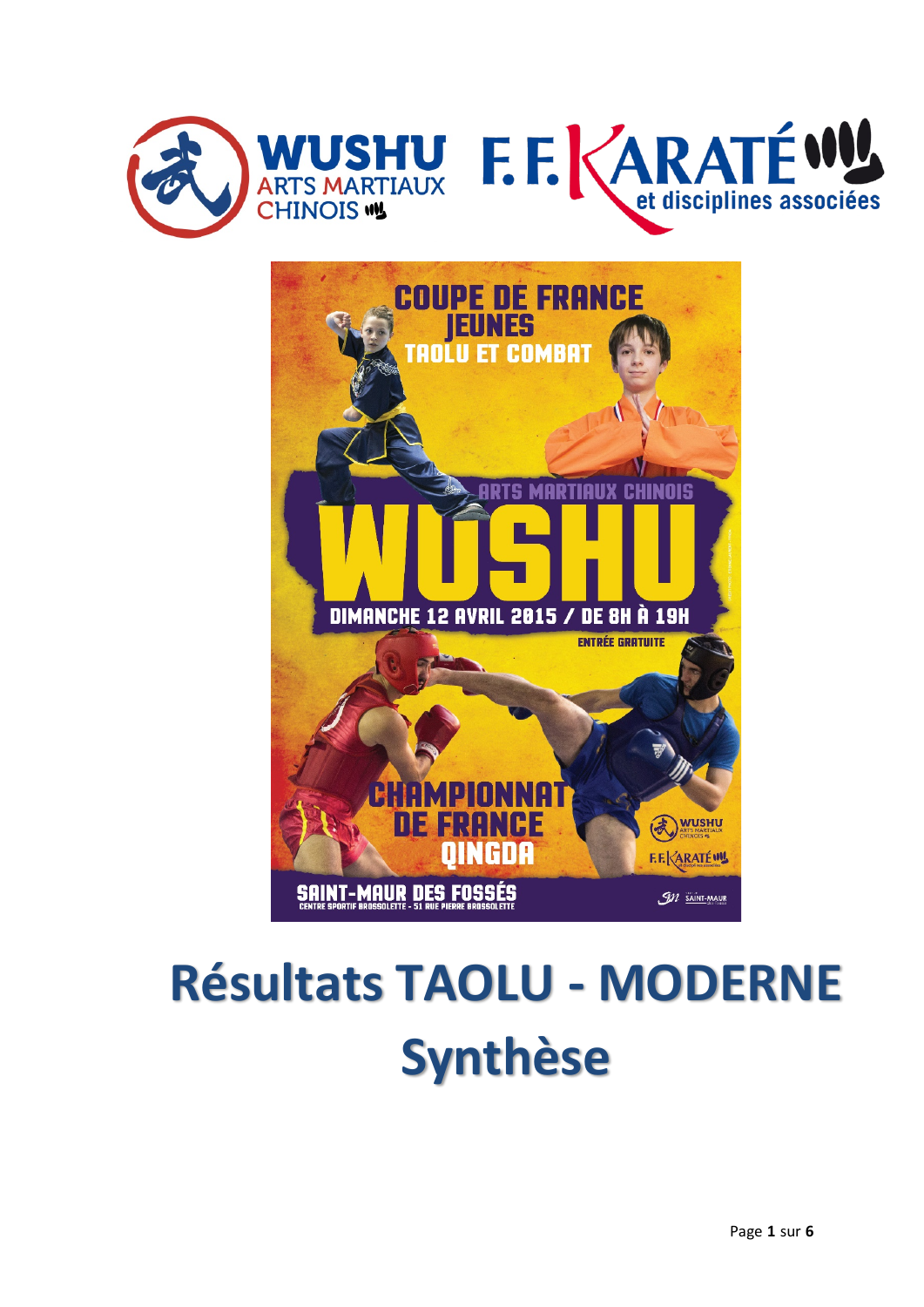



# **Résultats TAOLU - MODERNE Synthèse**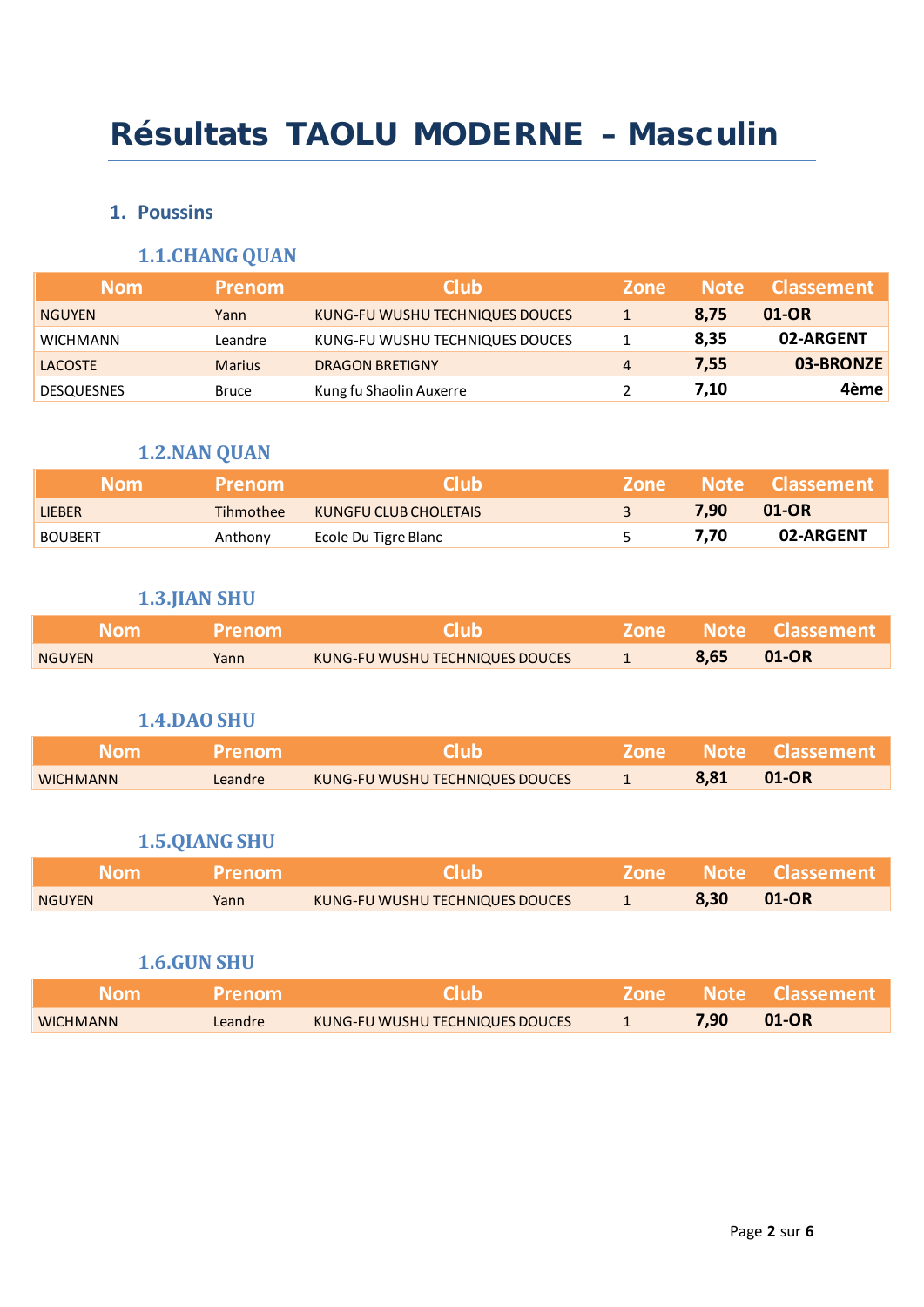# Résultats TAOLU MODERNE – Masculin

#### **1. Poussins**

## **1.1.CHANG QUAN**

| <b>Nom</b>        | <b>Prenom</b> | <b>Club</b>                     | <b>Zone</b>    | <b>Note</b> | <b>Classement</b> |
|-------------------|---------------|---------------------------------|----------------|-------------|-------------------|
| <b>NGUYEN</b>     | Yann          | KUNG-FU WUSHU TECHNIQUES DOUCES |                | 8.75        | 01-OR             |
| <b>WICHMANN</b>   | Leandre       | KUNG-FU WUSHU TECHNIQUES DOUCES |                | 8,35        | 02-ARGENT         |
| <b>LACOSTE</b>    | <b>Marius</b> | <b>DRAGON BRETIGNY</b>          | $\overline{4}$ | 7.55        | 03-BRONZE         |
| <b>DESQUESNES</b> | Bruce         | Kung fu Shaolin Auxerre         |                | 7.10        | 4ème              |

## **1.2.NAN QUAN**

| <b>Nom</b>     | <b>Prenom</b> | <b>Club</b>           | <b>Zone</b> |      | <b>Note Classement</b> |
|----------------|---------------|-----------------------|-------------|------|------------------------|
| <b>LIEBER</b>  | Tihmothee     | KUNGFU CLUB CHOLETAIS |             | 7.90 | 01-OR                  |
| <b>BOUBERT</b> | Anthony       | Ecole Du Tigre Blanc  |             | 7.70 | 02-ARGENT              |

#### **1.3.JIAN SHU**

| <b>Nom</b>    | <b>Prenom</b> | <b>Club</b>                     |      | Zone Note Classement |
|---------------|---------------|---------------------------------|------|----------------------|
| <b>NGUYEN</b> | Yann          | KUNG-FU WUSHU TECHNIQUES DOUCES | 8,65 | 01-OR                |

#### **1.4.DAO SHU**

| Nom.            | <b>Prenom</b> | Club                                   |      | <b>Zone Note Classement</b> |
|-----------------|---------------|----------------------------------------|------|-----------------------------|
| <b>WICHMANN</b> | Leandre       | <b>KUNG-FU WUSHU TECHNIQUES DOUCES</b> | 8.81 | $01$ -OR                    |

#### **1.5.QIANG SHU**

| <b>Nom</b>    | <b>Prenom</b> | CIUD                            |      | <b>Zone Note Classement</b> |
|---------------|---------------|---------------------------------|------|-----------------------------|
| <b>NGUYEN</b> | Yann          | KUNG-FU WUSHU TECHNIQUES DOUCES | 8,30 | 01-OR                       |

#### **1.6.GUN SHU**

| <b>Nom</b>      | <b>Prenom</b> | Club'                           |      | Zone Note Classement |
|-----------------|---------------|---------------------------------|------|----------------------|
| <b>WICHMANN</b> | Leandre       | KUNG-FU WUSHU TECHNIQUES DOUCES | 7,90 | $01$ -OR             |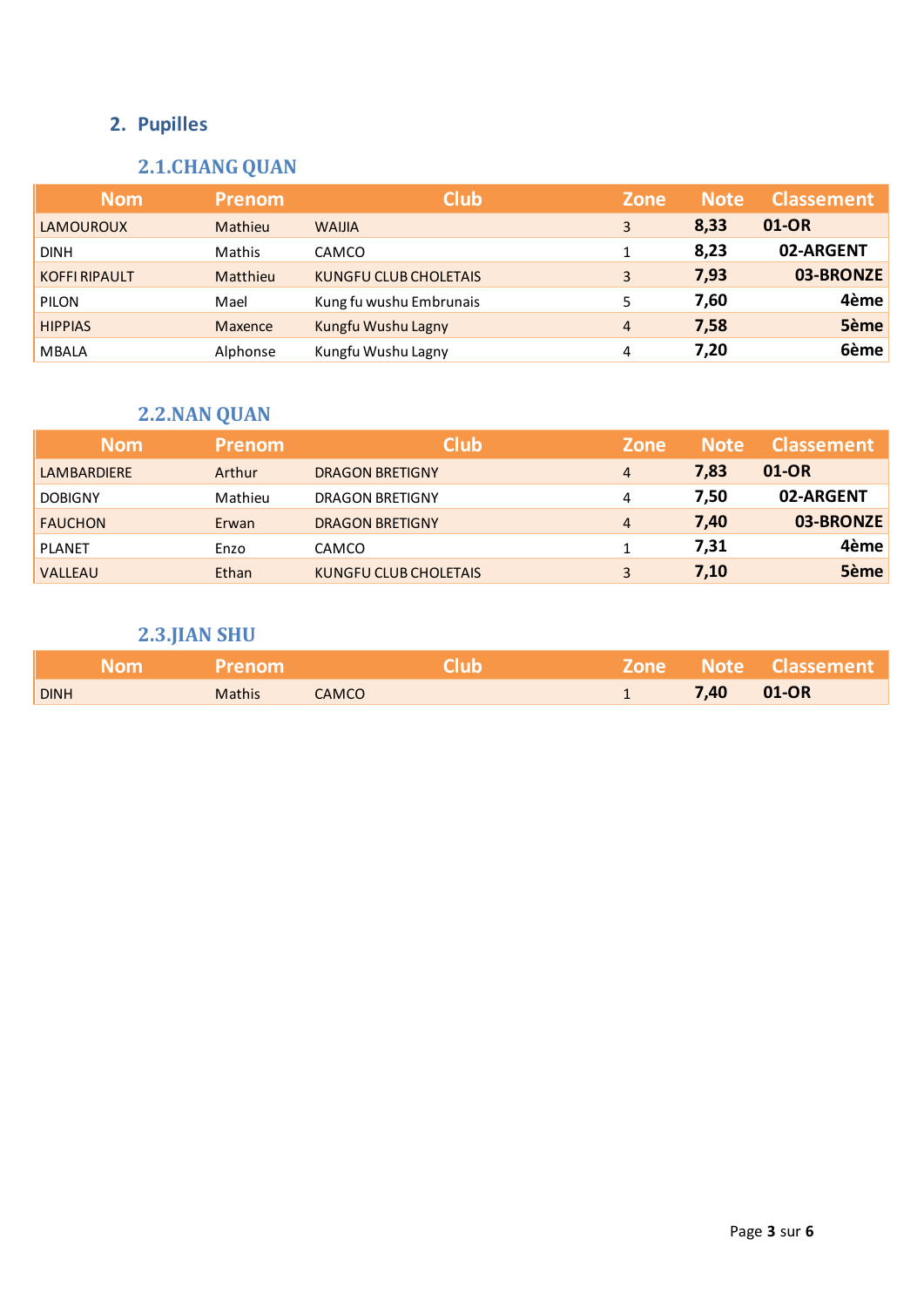## **2. Pupilles**

## **2.1.CHANG QUAN**

| <b>Nom</b>           | <b>Prenom</b>  | <b>Club</b>                  | <b>Zone</b>    | <b>Note</b> | <b>Classement</b> |
|----------------------|----------------|------------------------------|----------------|-------------|-------------------|
| <b>LAMOUROUX</b>     | Mathieu        | <b>WAIJIA</b>                | 3              | 8,33        | 01-OR             |
| <b>DINH</b>          | Mathis         | CAMCO                        |                | 8,23        | 02-ARGENT         |
| <b>KOFFI RIPAULT</b> | Matthieu       | <b>KUNGFU CLUB CHOLETAIS</b> | 3              | 7,93        | 03-BRONZE         |
| <b>PILON</b>         | Mael           | Kung fu wushu Embrunais      | 5.             | 7,60        | 4ème              |
| <b>HIPPIAS</b>       | <b>Maxence</b> | Kungfu Wushu Lagny           | $\overline{4}$ | 7,58        | 5ème              |
| <b>MBALA</b>         | Alphonse       | Kungfu Wushu Lagny           | 4              | 7,20        | 6ème              |

## **2.2.NAN QUAN**

| <b>Nom</b>         | <b>Prenom</b> | <b>Club</b>            | <b>Zone</b> | <b>Note</b> | <b>Classement</b> |
|--------------------|---------------|------------------------|-------------|-------------|-------------------|
| <b>LAMBARDIERE</b> | Arthur        | <b>DRAGON BRETIGNY</b> | 4           | 7,83        | 01-OR             |
| <b>DOBIGNY</b>     | Mathieu       | <b>DRAGON BRETIGNY</b> | 4           | 7,50        | 02-ARGENT         |
| <b>FAUCHON</b>     | Erwan         | <b>DRAGON BRETIGNY</b> | 4           | 7,40        | 03-BRONZE         |
| <b>PLANET</b>      | Enzo          | <b>CAMCO</b>           |             | 7,31        | 4ème              |
| <b>VALLEAU</b>     | Ethan         | KUNGFU CLUB CHOLETAIS  | 3           | 7,10        | 5ème              |

## **2.3.JIAN SHU**

| Nom <b>No</b> | <b>Prenom</b> |              | <b>Club</b> |      | <b>Zone Note Classement</b> |
|---------------|---------------|--------------|-------------|------|-----------------------------|
| <b>DINH</b>   | <b>Mathis</b> | <b>CAMCO</b> |             | 7,40 | <b>01-OR</b>                |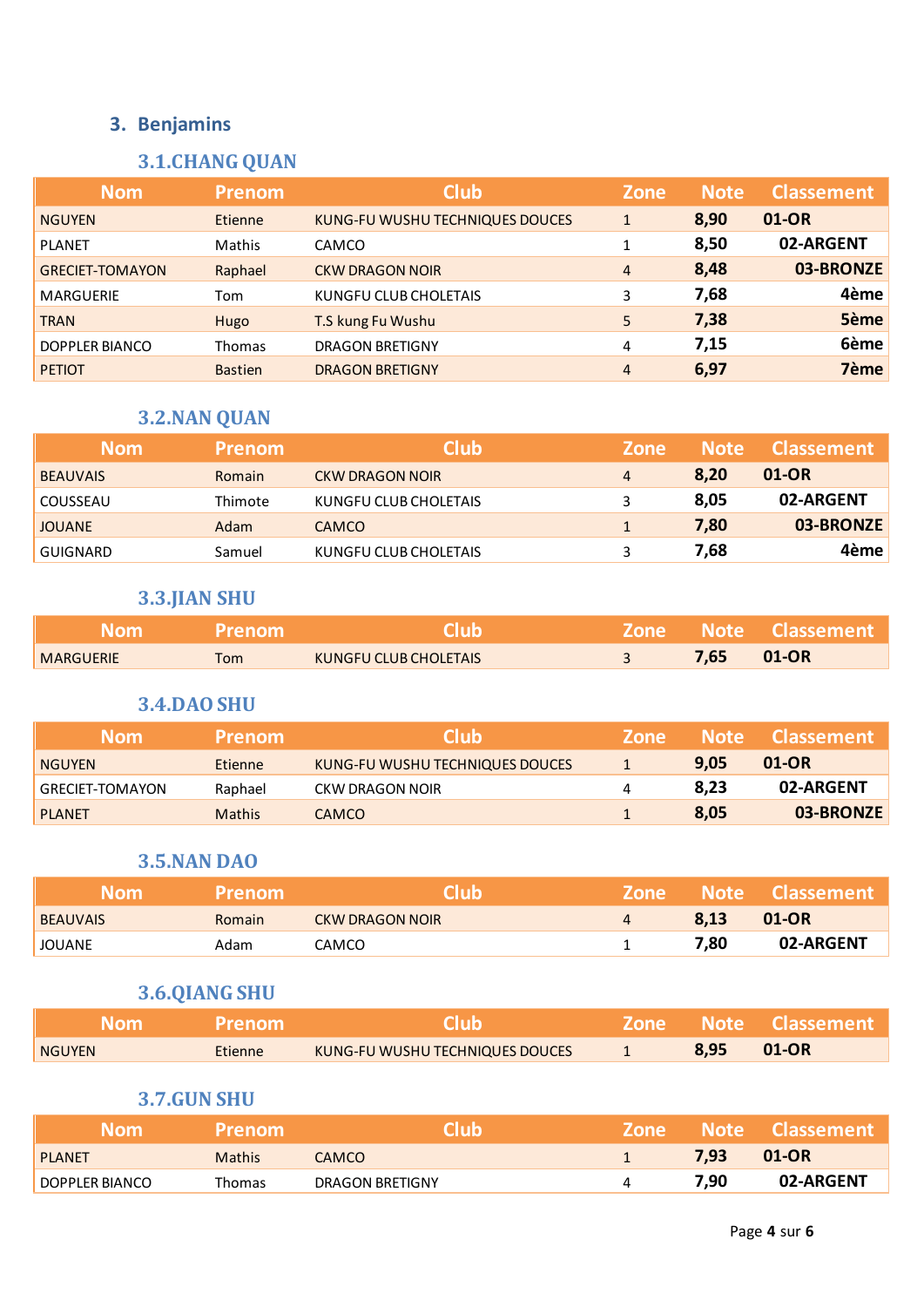## **3.1.CHANG QUAN**

| <b>Nom</b>             | <b>Prenom</b>  | <b>Club</b>                     | <b>Zone</b>    |      | <b>Classement</b> |
|------------------------|----------------|---------------------------------|----------------|------|-------------------|
| <b>NGUYEN</b>          | Etienne        | KUNG-FU WUSHU TECHNIQUES DOUCES | $\mathbf{1}$   | 8,90 | 01-OR             |
| <b>PLANET</b>          | Mathis         | CAMCO                           | 1              | 8,50 | 02-ARGENT         |
| <b>GRECIET-TOMAYON</b> | Raphael        | <b>CKW DRAGON NOIR</b>          | $\overline{4}$ | 8,48 | 03-BRONZE         |
| <b>MARGUERIE</b>       | Tom            | KUNGFU CLUB CHOLETAIS           | 3              | 7,68 | 4ème              |
| <b>TRAN</b>            | Hugo           | T.S kung Fu Wushu               | 5              | 7,38 | 5ème              |
| DOPPLER BIANCO         | <b>Thomas</b>  | <b>DRAGON BRETIGNY</b>          | 4              | 7,15 | 6ème              |
| <b>PETIOT</b>          | <b>Bastien</b> | <b>DRAGON BRETIGNY</b>          | 4              | 6,97 | 7ème              |

## **3.2.NAN QUAN**

| <b>Nom</b>      | <b>Prenom</b> | <b>Club</b>            | <b>Zone</b>    | <b>Note</b> | Classement |
|-----------------|---------------|------------------------|----------------|-------------|------------|
| <b>BEAUVAIS</b> | Romain        | <b>CKW DRAGON NOIR</b> | $\overline{4}$ | 8,20        | 01-OR      |
| COUSSEAU        | Thimote       | KUNGFU CLUB CHOLETAIS  | 3              | 8,05        | 02-ARGENT  |
| <b>JOUANE</b>   | Adam          | <b>CAMCO</b>           |                | 7,80        | 03-BRONZE  |
| GUIGNARD        | Samuel        | KUNGFU CLUB CHOLETAIS  |                | 7.68        | 4ème l     |

## **3.3.JIAN SHU**

| <b>Nom</b>       | <b>Prenom</b> | Club                  |      | 'Zone Note Classement, |
|------------------|---------------|-----------------------|------|------------------------|
| <b>MARGUERIE</b> | Tom           | KUNGFU CLUB CHOLETAIS | 7,65 | $01$ -OR               |

#### **3.4.DAO SHU**

| <b>Nom</b>             | <b>Prenom</b> | <b>Club</b>                     | <b>Zone</b> | <b>Note</b> | <b>Classement</b> |
|------------------------|---------------|---------------------------------|-------------|-------------|-------------------|
| <b>NGUYEN</b>          | Etienne       | KUNG-FU WUSHU TECHNIQUES DOUCES |             | 9.05        | 01-OR             |
| <b>GRECIET-TOMAYON</b> | Raphael       | CKW DRAGON NOIR                 | 4           | 8.23        | 02-ARGENT         |
| <b>PLANET</b>          | <b>Mathis</b> | CAMCO                           |             | 8.05        | 03-BRONZE         |

## **3.5.NAN DAO**

| <b>Nom</b>      | <b>Prenom</b> | Club            | <b>Zone</b>    |      | Wote Classement |
|-----------------|---------------|-----------------|----------------|------|-----------------|
| <b>BEAUVAIS</b> | Romain        | CKW DRAGON NOIR | $\overline{4}$ | 8,13 | 01-OR           |
| <b>JOUANE</b>   | Adam          | CAMCO           |                | 7,80 | 02-ARGENT       |

## **3.6.QIANG SHU**

| <b>Nom</b>    | <b>Prenom</b>  | <b>Club</b>                     |      | Sone Note Classement |
|---------------|----------------|---------------------------------|------|----------------------|
| <b>NGUYEN</b> | <b>Etienne</b> | KUNG-FU WUSHU TECHNIQUES DOUCES | 8.95 | 01-OR                |

#### **3.7.GUN SHU**

| <b>Nom</b>     | <b>Prenom</b> | Club            | <b>Zone</b> |                   | Note Classement |
|----------------|---------------|-----------------|-------------|-------------------|-----------------|
| <b>PLANET</b>  | <b>Mathis</b> | <b>CAMCO</b>    |             | 7.93 <sub>1</sub> | 01-OR           |
| DOPPLER BIANCO | Thomas        | DRAGON BRETIGNY |             | 7,90              | 02-ARGENT       |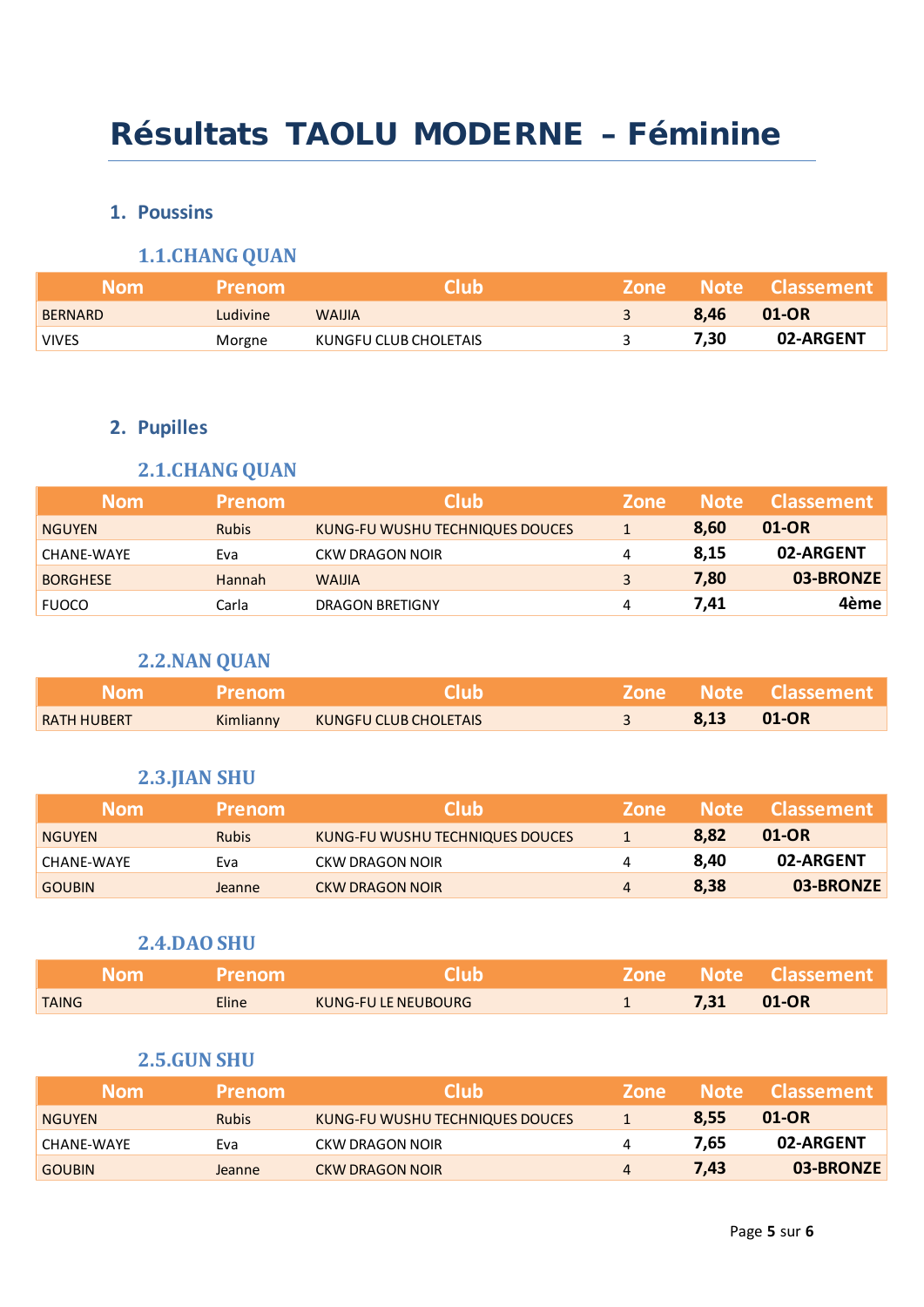# Résultats TAOLU MODERNE – Féminine

## **1. Poussins**

## **1.1.CHANG QUAN**

| Mom            | Prenom   | <b>Club</b>           | <b>Zone</b> |      | Note Classement |
|----------------|----------|-----------------------|-------------|------|-----------------|
| <b>BERNARD</b> | Ludivine | <b>WAIJIA</b>         |             | 8.46 | 01-OR           |
| <b>VIVES</b>   | Morgne   | KUNGFU CLUB CHOLETAIS |             | 7,30 | 02-ARGENT       |

## **2. Pupilles**

## **2.1.CHANG QUAN**

| <b>Nom</b>      | <b>Prenom</b> | <b>Club</b>                     | Zone | <b>Note</b> | <b>Classement</b> |
|-----------------|---------------|---------------------------------|------|-------------|-------------------|
| <b>NGUYEN</b>   | <b>Rubis</b>  | KUNG-FU WUSHU TECHNIQUES DOUCES |      | 8.60        | 01-OR             |
| CHANE-WAYE      | Eva           | CKW DRAGON NOIR                 | 4    | 8,15        | 02-ARGENT         |
| <b>BORGHESE</b> | Hannah        | <b>WAIJIA</b>                   | 3    | 7,80        | 03-BRONZE         |
| <b>FUOCO</b>    | Carla         | DRAGON BRETIGNY                 | 4    | 7.41        | 4ème              |

## **2.2.NAN QUAN**

| Nom :              | <b>Prenom</b> | <b>Club</b>           |      | Zone Note Classement |
|--------------------|---------------|-----------------------|------|----------------------|
| <b>RATH HUBERT</b> | Kimlianny     | KUNGFU CLUB CHOLETAIS | 8.13 | <b>01-OR</b>         |

## **2.3.JIAN SHU**

| <b>Nom</b>    | <b>Prenom</b> | <b>Club</b>                     | <b>Zone</b>    | <b>Note</b> | <b>Classement</b> |
|---------------|---------------|---------------------------------|----------------|-------------|-------------------|
| <b>NGUYEN</b> | <b>Rubis</b>  | KUNG-FU WUSHU TECHNIQUES DOUCES |                | 8.82        | 01-OR             |
| CHANE-WAYE    | Eva           | CKW DRAGON NOIR                 | 4              | 8.40        | 02-ARGENT         |
| <b>GOUBIN</b> | Jeanne        | <b>CKW DRAGON NOIR</b>          | $\overline{4}$ | 8.38        | 03-BRONZE         |

#### **2.4.DAO SHU**

| Nom          | Prenom             | ciub                |      | TZone Note Classement |
|--------------|--------------------|---------------------|------|-----------------------|
| <b>TAING</b> | Eline <sup>1</sup> | KUNG-FU LE NEUBOURG | 7,31 | 01-OR                 |

#### **2.5.GUN SHU**

| <b>Nom</b>    | <b>Prenom</b> | <b>Club</b>                     | <b>Zone</b>    | / Note / | <b>Classement</b> |
|---------------|---------------|---------------------------------|----------------|----------|-------------------|
| <b>NGUYEN</b> | <b>Rubis</b>  | KUNG-FU WUSHU TECHNIQUES DOUCES |                | 8.55     | 01-OR             |
| ' CHANE-WAYE  | Eva           | CKW DRAGON NOIR                 | 4              | 7.65     | 02-ARGENT         |
| <b>GOUBIN</b> | Jeanne        | CKW DRAGON NOIR                 | $\overline{4}$ | 7.43     | 03-BRONZE         |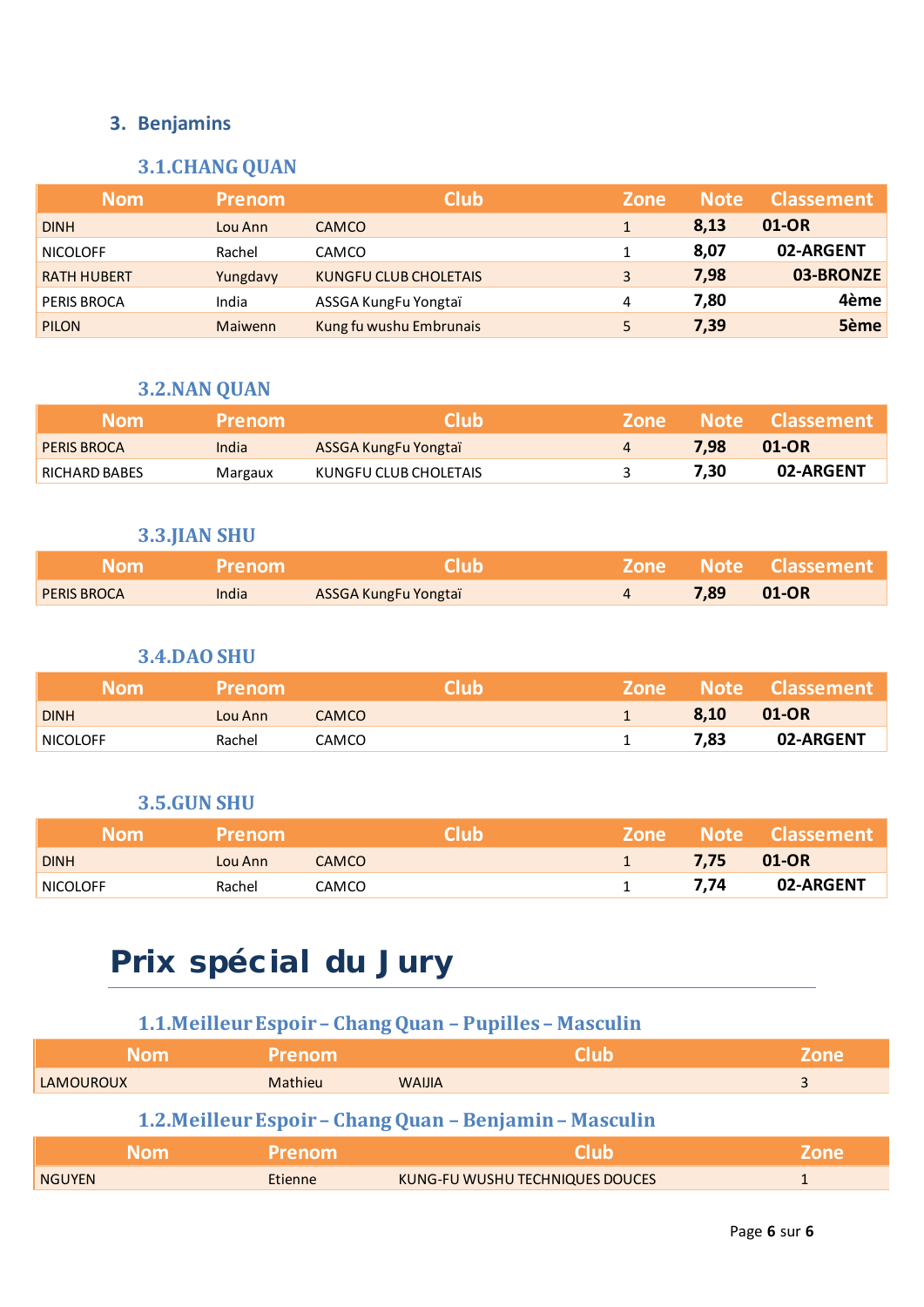## **3.1.CHANG QUAN**

| <b>Nom</b>         | <b>Prenom</b>  | <b>Club</b>                  | <b>Zone</b> | <b>Note</b> | <b>Classement</b> |
|--------------------|----------------|------------------------------|-------------|-------------|-------------------|
| <b>DINH</b>        | Lou Ann        | <b>CAMCO</b>                 |             | 8,13        | 01-OR             |
| <b>NICOLOFF</b>    | Rachel         | <b>CAMCO</b>                 |             | 8,07        | 02-ARGENT         |
| <b>RATH HUBERT</b> | Yungdavy       | <b>KUNGFU CLUB CHOLETAIS</b> | 3           | 7,98        | 03-BRONZE         |
| <b>PERIS BROCA</b> | India          | ASSGA KungFu Yongtaï         | 4           | 7,80        | 4ème              |
| <b>PILON</b>       | <b>Maiwenn</b> | Kung fu wushu Embrunais      | 5.          | 7,39        | 5ème              |

## **3.2.NAN QUAN**

| <b>Nom</b>         | <b>Prenom</b> | Club                  | 'Zone' |      | Note Classement |
|--------------------|---------------|-----------------------|--------|------|-----------------|
| <b>PERIS BROCA</b> | India         | ASSGA KungFu Yongtaï  |        | 7.98 | 01-OR           |
| RICHARD BABES      | Margaux       | KUNGFU CLUB CHOLETAIS |        | 7.30 | 02-ARGENT       |

#### **3.3.JIAN SHU**

| ' Nom              | <b>Prenom</b> | <b>Club</b>          |      | <b>Zone Note Classement</b> |
|--------------------|---------------|----------------------|------|-----------------------------|
| <b>PERIS BROCA</b> | India         | ASSGA KungFu Yongtaï | 7,89 | 01-OR                       |

#### **3.4.DAO SHU**

| <b>Nom</b>      | <b>Prenom</b> |              | Club | LZone l |      | Wote Classement |
|-----------------|---------------|--------------|------|---------|------|-----------------|
| <b>DINH</b>     | Lou Ann       | <b>CAMCO</b> |      |         | 8,10 | 01-OR           |
| <b>NICOLOFF</b> | Rachel        | CAMCO        |      |         | 7,83 | 02-ARGENT       |

#### **3.5.GUN SHU**

| <b>Nom</b>  | <b>Prenom</b> |              | Club |            | Zone Note Classement |
|-------------|---------------|--------------|------|------------|----------------------|
| <b>DINH</b> | Lou Ann       | <b>CAMCO</b> |      | 7,75 01-OR |                      |
| NICOLOFF    | Rachel        | CAMCO        |      | 7.74       | 02-ARGENT            |

# Prix spécial du Jury

## **1.1.Meilleur Espoir – Chang Quan – Pupilles – Masculin**

| <b>Nom</b>                                              | <b>Prenom</b> | <b>Club</b>                     | <b>Zone</b> |  |  |  |  |
|---------------------------------------------------------|---------------|---------------------------------|-------------|--|--|--|--|
| <b>LAMOUROUX</b>                                        | Mathieu       | <b>WAIJIA</b>                   |             |  |  |  |  |
| 1.2. Meilleur Espoir – Chang Quan – Benjamin – Masculin |               |                                 |             |  |  |  |  |
| <b>Nom</b>                                              | <b>Prenom</b> | <b>Club</b>                     | <b>Zone</b> |  |  |  |  |
| <b>NGUYEN</b>                                           | Etienne       | KUNG-FU WUSHU TECHNIQUES DOUCES |             |  |  |  |  |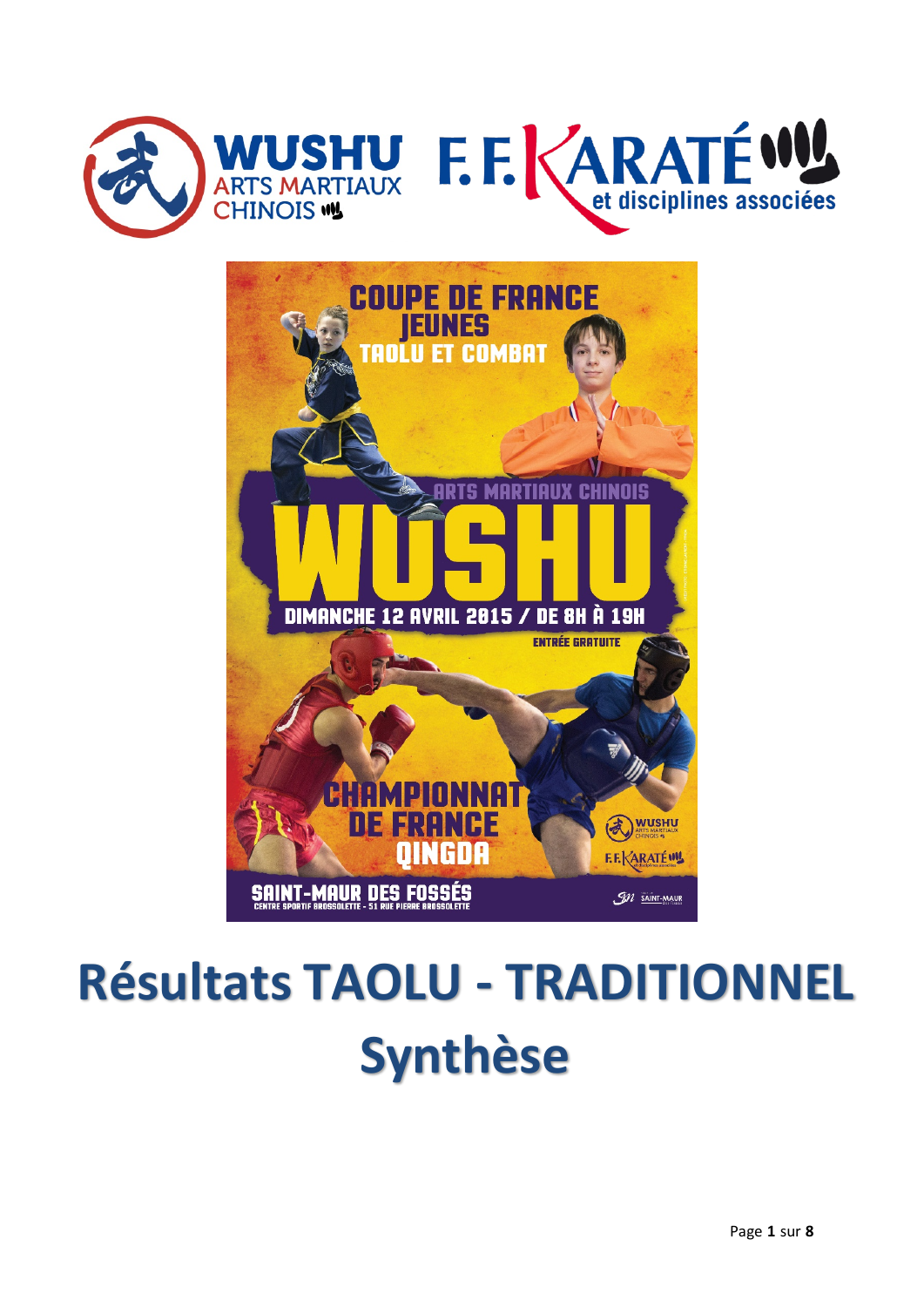



# **Résultats TAOLU - TRADITIONNEL Synthèse**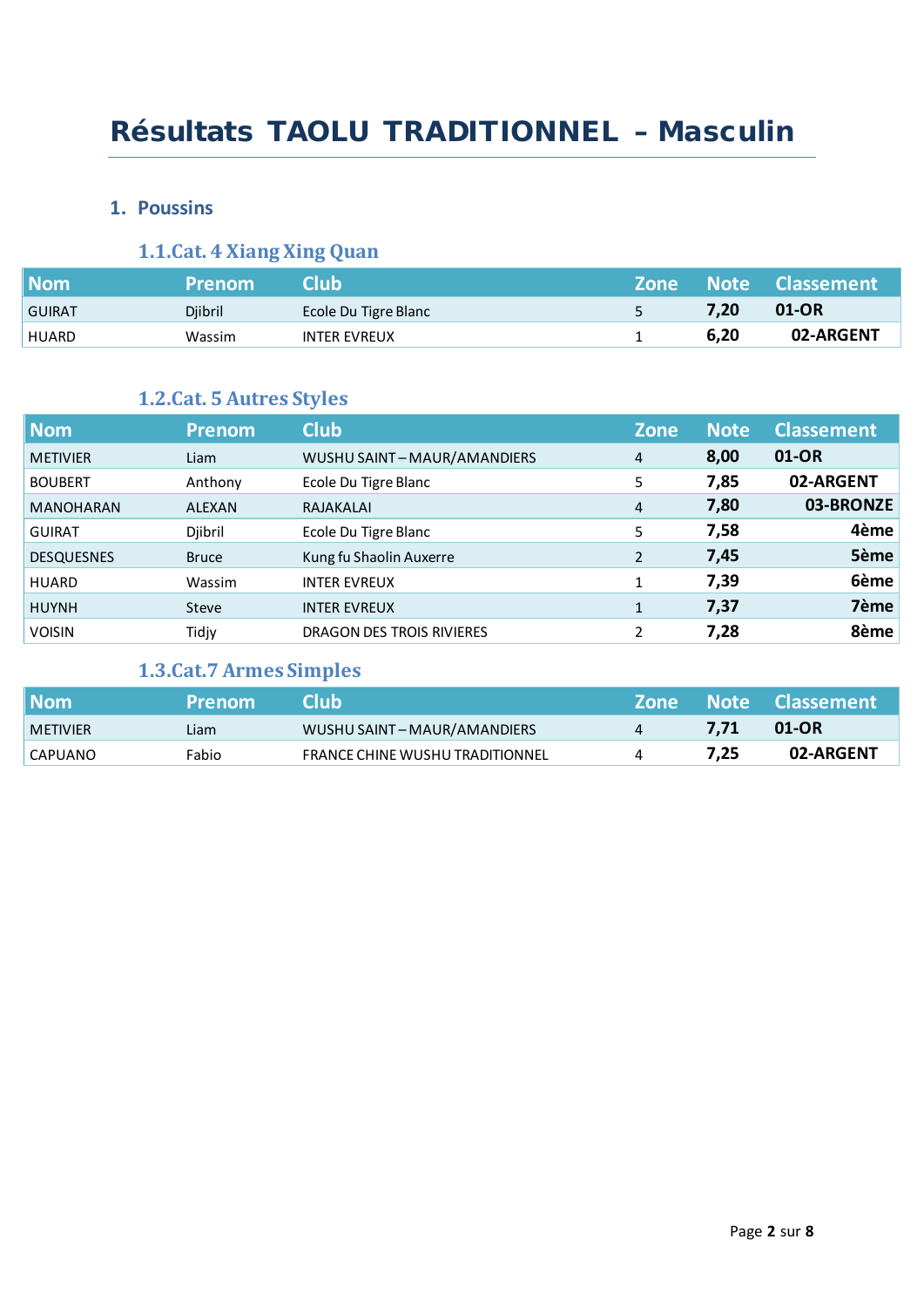## Résultats TAOLU TRADITIONNEL – Masculin

#### **1. Poussins**

## **1.1.Cat. 4 Xiang Xing Quan**

| <b>Nom</b>    | <b>Prenom</b> | 'Club.               |      | Zone Note Classement |
|---------------|---------------|----------------------|------|----------------------|
| <b>GUIRAT</b> | Djibril       | Ecole Du Tigre Blanc | 7,20 | 01-OR                |
| <b>HUARD</b>  | Wassim        | <b>INTER EVREUX</b>  | 6,20 | 02-ARGENT            |

## **1.2.Cat. 5 Autres Styles**

| <b>Nom</b>        | <b>Prenom</b> | <b>Club</b>                | <b>Zone</b>  | <b>Note</b> | <b>Classement</b> |
|-------------------|---------------|----------------------------|--------------|-------------|-------------------|
| <b>METIVIER</b>   | Liam          | WUSHU SAINT-MAUR/AMANDIERS | 4            | 8,00        | 01-OR             |
| <b>BOUBERT</b>    | Anthony       | Ecole Du Tigre Blanc       | 5            | 7,85        | 02-ARGENT         |
| <b>MANOHARAN</b>  | <b>ALEXAN</b> | RAJAKALAI                  | 4            | 7,80        | 03-BRONZE         |
| <b>GUIRAT</b>     | Djibril       | Ecole Du Tigre Blanc       | 5            | 7,58        | 4ème              |
| <b>DESQUESNES</b> | <b>Bruce</b>  | Kung fu Shaolin Auxerre    | 2            | 7,45        | 5ème              |
| <b>HUARD</b>      | Wassim        | <b>INTER EVREUX</b>        | $\mathbf{1}$ | 7,39        | 6ème              |
| <b>HUYNH</b>      | <b>Steve</b>  | <b>INTER EVREUX</b>        | $\mathbf{1}$ | 7,37        | 7ème              |
| <b>VOISIN</b>     | Tidjy         | DRAGON DES TROIS RIVIERES  | 2            | 7,28        | 8ème              |

## **1.3.Cat.7 Armes Simples**

| $\blacksquare$ Nom | <b>Prenom</b> | 'club'                                 |      | Zone Note Classement |
|--------------------|---------------|----------------------------------------|------|----------------------|
| <b>METIVIER</b>    | Liam          | WUSHU SAINT-MAUR/AMANDIERS             | 7.71 | 01-OR                |
| CAPUANO            | Fabio         | <b>FRANCE CHINE WUSHU TRADITIONNEL</b> | 7,25 | 02-ARGENT            |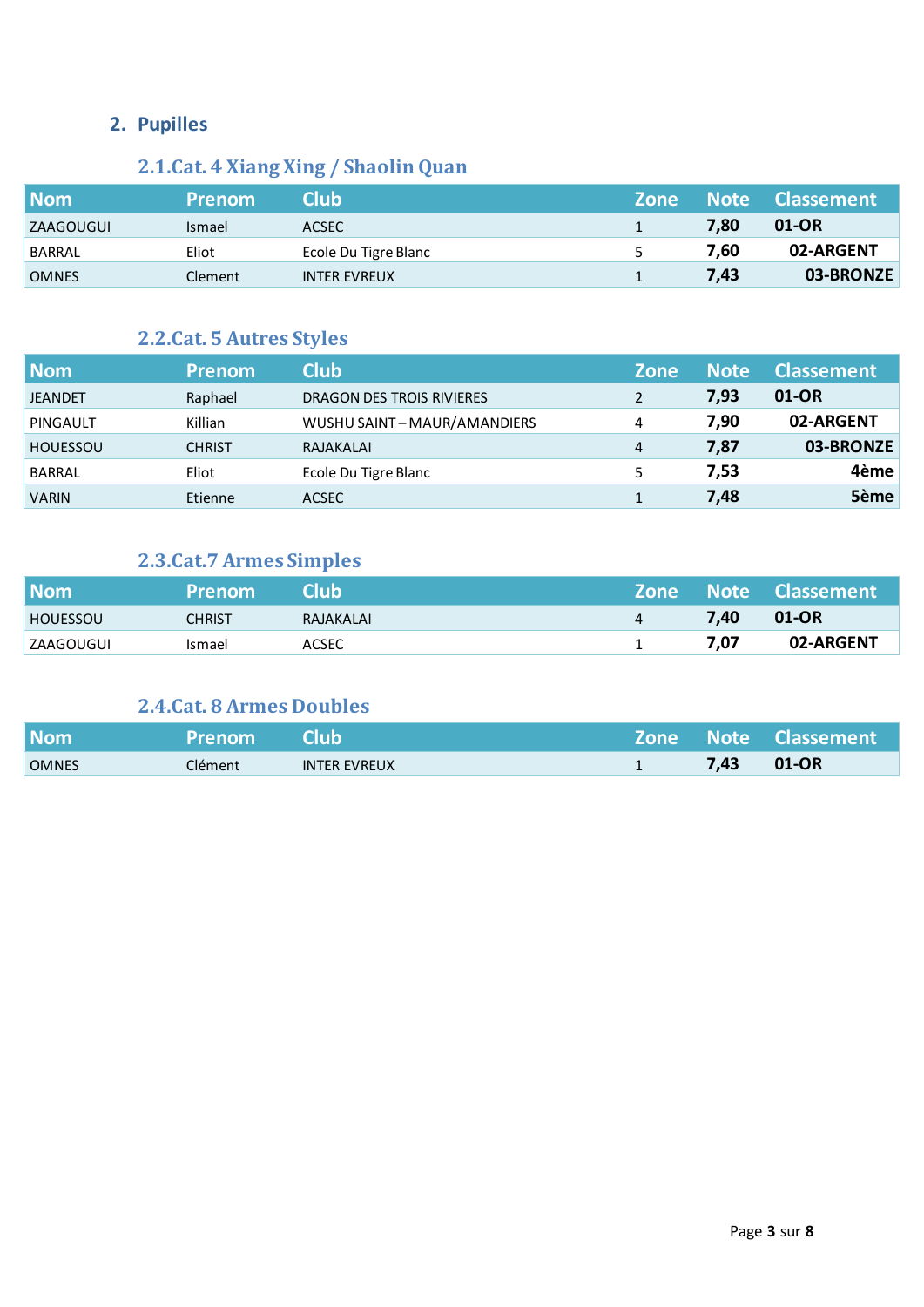## **2. Pupilles**

## **2.1.Cat. 4 Xiang Xing / Shaolin Quan**

| <b>Nom</b>   | <b>Prenom</b> | Club                 | <b>Zone</b> |      | Note Classement |
|--------------|---------------|----------------------|-------------|------|-----------------|
| ZAAGOUGUI    | <b>Ismael</b> | ACSEC <sup>1</sup>   |             | 7,80 | 01-OR           |
| BARRAL       | Eliot         | Ecole Du Tigre Blanc | 5           | 7,60 | 02-ARGENT       |
| <b>OMNES</b> | Clement       | <b>INTER EVREUX</b>  |             | 7,43 | 03-BRONZE       |

## **2.2.Cat. 5 Autres Styles**

| <b>Nom</b>      | <b>Prenom</b> | <b>Club</b>                | <b>Zone</b> | <b>Note</b> | <b>Classement</b> |
|-----------------|---------------|----------------------------|-------------|-------------|-------------------|
| <b>JEANDET</b>  | Raphael       | DRAGON DES TROIS RIVIERES  | 2           | 7,93        | 01-OR             |
| PINGAULT        | Killian       | WUSHU SAINT-MAUR/AMANDIERS | 4           | 7,90        | 02-ARGENT         |
| <b>HOUESSOU</b> | <b>CHRIST</b> | RAJAKALAI                  | 4           | 7,87        | 03-BRONZE         |
| BARRAL          | Eliot         | Ecole Du Tigre Blanc       |             | 7,53        | 4ème              |
| <b>VARIN</b>    | Etienne       | <b>ACSEC</b>               |             | 7,48        | 5ème              |

## **2.3.Cat.7 Armes Simples**

| <b>Nom</b>       | <b>Prenom</b> | <b>Club</b> |      | Zone Note Classement |
|------------------|---------------|-------------|------|----------------------|
| <b>HOUESSOU</b>  | CHRIST        | RAJAKALAI   | 7,40 | $01$ -OR             |
| <b>ZAAGOUGUI</b> | Ismael        | ACSEC       | 7,07 | 02-ARGENT            |

## **2.4.Cat. 8 Armes Doubles**

| <b>Nom</b>   | <b>Prenom</b> | <b>Club</b>         |      | Zone Note Classement |
|--------------|---------------|---------------------|------|----------------------|
| <b>OMNES</b> | Clément       | <b>INTER EVREUX</b> | 7,43 | 01-OR                |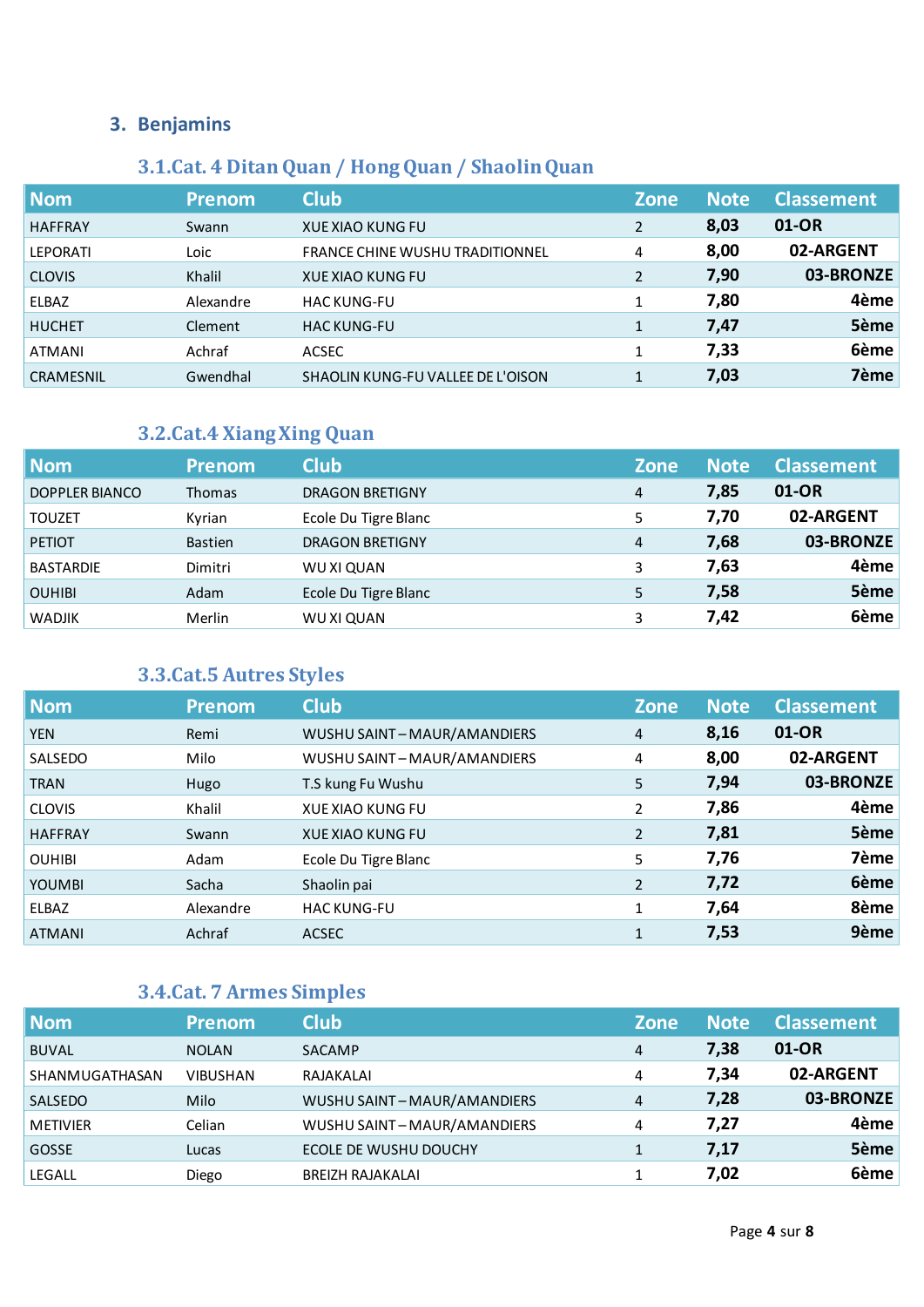## **3.1.Cat. 4 Ditan Quan / Hong Quan / Shaolin Quan**

| <b>Nom</b>      | <b>Prenom</b> | <b>Club</b>                            | <b>Zone</b>    | <b>Note</b> | <b>Classement</b> |
|-----------------|---------------|----------------------------------------|----------------|-------------|-------------------|
| <b>HAFFRAY</b>  | Swann         | <b>XUE XIAO KUNG FU</b>                | $\overline{2}$ | 8,03        | 01-OR             |
| <b>LEPORATI</b> | Loic          | <b>FRANCE CHINE WUSHU TRADITIONNEL</b> | 4              | 8,00        | 02-ARGENT         |
| <b>CLOVIS</b>   | Khalil        | <b>XUE XIAO KUNG FU</b>                | $\overline{2}$ | 7,90        | 03-BRONZE         |
| <b>ELBAZ</b>    | Alexandre     | <b>HAC KUNG-FU</b>                     | 1              | 7,80        | 4ème              |
| <b>HUCHET</b>   | Clement       | <b>HAC KUNG-FU</b>                     | $\mathbf{1}$   | 7,47        | 5ème              |
| ATMANI          | Achraf        | <b>ACSEC</b>                           |                | 7,33        | 6ème              |
| CRAMESNIL       | Gwendhal      | SHAOLIN KUNG-FU VALLEE DE L'OISON      |                | 7,03        | 7ème              |

## **3.2.Cat.4 Xiang Xing Quan**

| <b>Nom</b>       | <b>Prenom</b>  | <b>Club</b>            | <b>Zone</b> | <b>Note</b> | <b>Classement</b> |
|------------------|----------------|------------------------|-------------|-------------|-------------------|
| DOPPLER BIANCO   | <b>Thomas</b>  | <b>DRAGON BRETIGNY</b> | 4           | 7,85        | 01-OR             |
| <b>TOUZET</b>    | Kyrian         | Ecole Du Tigre Blanc   | 5           | 7,70        | 02-ARGENT         |
| <b>PETIOT</b>    | <b>Bastien</b> | <b>DRAGON BRETIGNY</b> | 4           | 7,68        | 03-BRONZE         |
| <b>BASTARDIE</b> | Dimitri        | WU XI QUAN             | 3           | 7,63        | 4ème              |
| <b>OUHIBI</b>    | Adam           | Ecole Du Tigre Blanc   | 5           | 7,58        | 5ème              |
| <b>WADJIK</b>    | Merlin         | WU XI QUAN             | 3           | 7,42        | 6ème              |

## **3.3.Cat.5 Autres Styles**

| <b>Nom</b>     | <b>Prenom</b> | <b>Club</b>                | <b>Zone</b>    | <b>Note</b> | <b>Classement</b> |
|----------------|---------------|----------------------------|----------------|-------------|-------------------|
| <b>YEN</b>     | Remi          | WUSHU SAINT-MAUR/AMANDIERS | $\overline{4}$ | 8,16        | 01-OR             |
| SALSEDO        | Milo          | WUSHU SAINT-MAUR/AMANDIERS | 4              | 8,00        | 02-ARGENT         |
| <b>TRAN</b>    | Hugo          | T.S kung Fu Wushu          | 5              | 7,94        | 03-BRONZE         |
| <b>CLOVIS</b>  | Khalil        | <b>XUE XIAO KUNG FU</b>    | 2              | 7,86        | 4ème              |
| <b>HAFFRAY</b> | Swann         | <b>XUE XIAO KUNG FU</b>    | $\overline{2}$ | 7,81        | 5ème              |
| <b>OUHIBI</b>  | Adam          | Ecole Du Tigre Blanc       | 5              | 7,76        | 7ème              |
| <b>YOUMBI</b>  | Sacha         | Shaolin pai                | $\overline{2}$ | 7,72        | 6ème              |
| ELBAZ          | Alexandre     | <b>HAC KUNG-FU</b>         | 1              | 7,64        | 8ème              |
| <b>ATMANI</b>  | Achraf        | <b>ACSEC</b>               | $\mathbf{1}$   | 7,53        | 9ème              |

## **3.4.Cat. 7 Armes Simples**

| <b>Nom</b>      | <b>Prenom</b>   | <b>Club</b>                | <b>Zone</b> | <b>Note</b> | <b>Classement</b> |
|-----------------|-----------------|----------------------------|-------------|-------------|-------------------|
| <b>BUVAL</b>    | <b>NOLAN</b>    | SACAMP                     | 4           | 7,38        | 01-OR             |
| SHANMUGATHASAN  | <b>VIBUSHAN</b> | RAJAKALAI                  | 4           | 7,34        | 02-ARGENT         |
| SALSEDO         | Milo            | WUSHU SAINT-MAUR/AMANDIERS | 4           | 7,28        | 03-BRONZE         |
| <b>METIVIER</b> | Celian          | WUSHU SAINT-MAUR/AMANDIERS | 4           | 7,27        | 4ème              |
| GOSSE           | Lucas           | ECOLE DE WUSHU DOUCHY      |             | 7,17        | 5ème              |
| <b>LEGALL</b>   | Diego           | <b>BREIZH RAJAKALAI</b>    |             | 7,02        | 6ème              |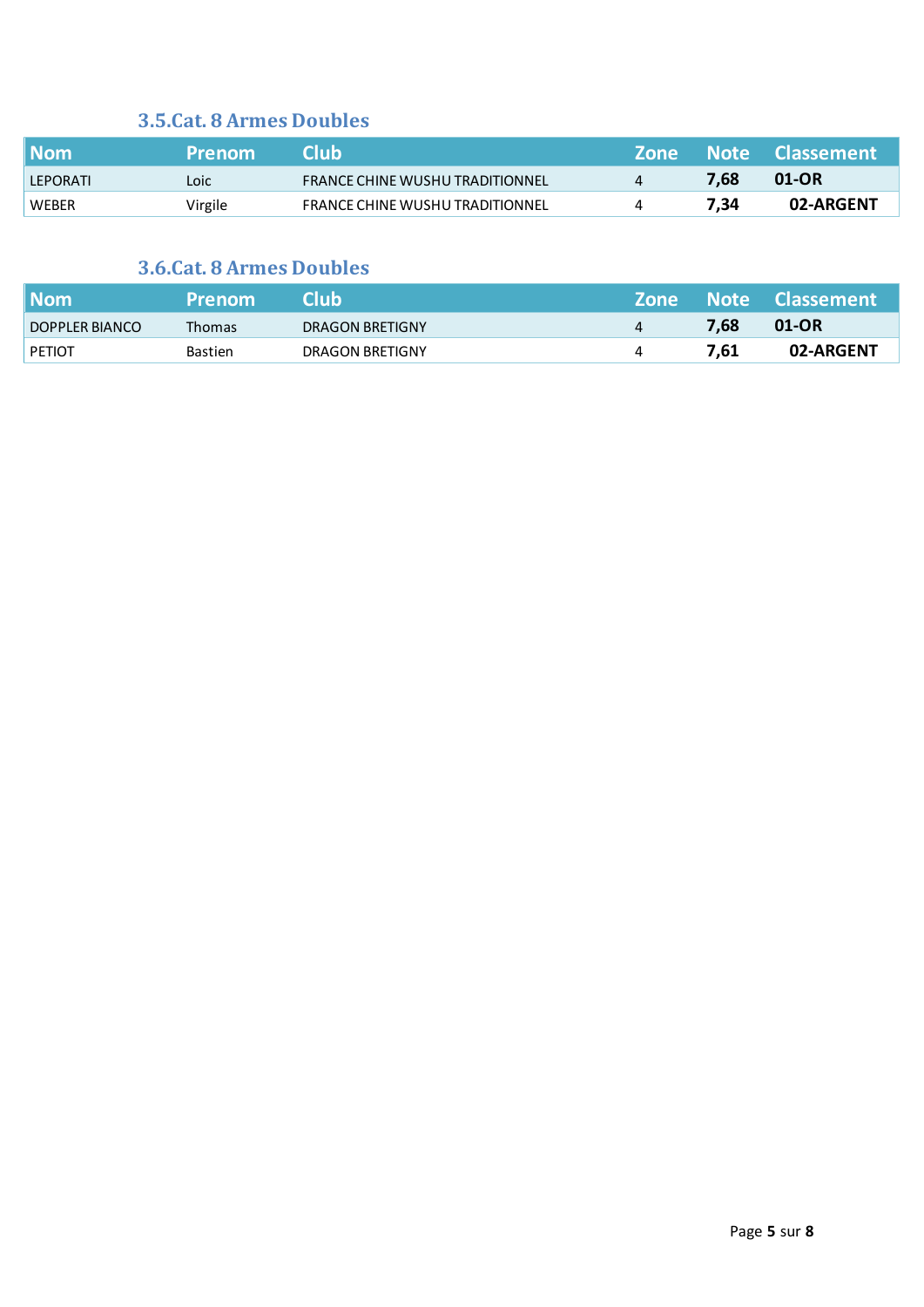## **3.5.Cat. 8 Armes Doubles**

| <b>Nom</b>   | <b>Prenom</b> | Club.                                  |      | Zone Note Classement |
|--------------|---------------|----------------------------------------|------|----------------------|
| LEPORATI     | Loic          | <b>FRANCE CHINE WUSHU TRADITIONNEL</b> | 7.68 | $01-OR$              |
| <b>WEBER</b> | Virgile       | <b>FRANCE CHINE WUSHU TRADITIONNEL</b> | 7.34 | 02-ARGENT            |

## **3.6.Cat. 8 Armes Doubles**

| <b>Nom</b>     | <b>Prenom</b>  | Club            | <b>Zone</b> |      | Note Classement |
|----------------|----------------|-----------------|-------------|------|-----------------|
| DOPPLER BIANCO | <b>Thomas</b>  | DRAGON BRETIGNY |             | 7,68 | $01$ -OR        |
| <b>PETIOT</b>  | <b>Bastien</b> | DRAGON BRETIGNY |             | 7.61 | 02-ARGENT       |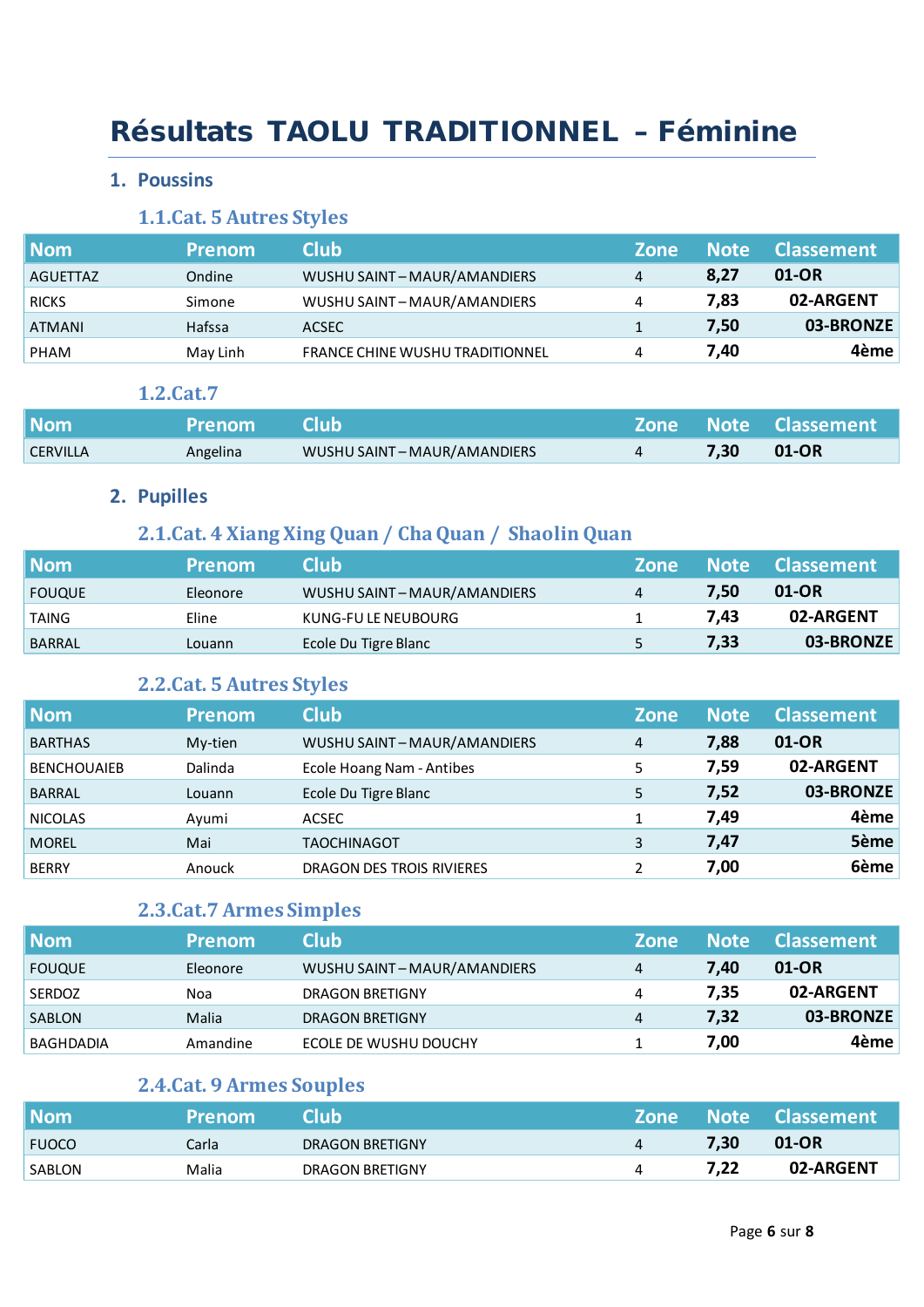## Résultats TAOLU TRADITIONNEL – Féminine

#### **1. Poussins**

## **1.1.Cat. 5 Autres Styles**

| <b>Nom</b>    | <b>Prenom</b> | <b>Club</b>                            | <b>Zone</b> | <b>Note</b> | Classement |
|---------------|---------------|----------------------------------------|-------------|-------------|------------|
| AGUETTAZ      | Ondine        | WUSHU SAINT-MAUR/AMANDIERS             | 4           | 8,27        | 01-OR      |
| <b>RICKS</b>  | Simone        | WUSHU SAINT-MAUR/AMANDIERS             |             | 7,83        | 02-ARGENT  |
| <b>ATMANI</b> | Hafssa        | ACSEC                                  |             | 7,50        | 03-BRONZE  |
| PHAM          | May Linh      | <b>FRANCE CHINE WUSHU TRADITIONNEL</b> |             | 7,40        | 4ème       |

#### **1.2.Cat.7**

| <b>Nom</b>      | Prenom Club |                            |         | <b>Zone Note Classement</b> |
|-----------------|-------------|----------------------------|---------|-----------------------------|
| <b>CERVILLA</b> | Angelina    | WUSHU SAINT-MAUR/AMANDIERS | $-7,30$ | 01-OR                       |

## **2. Pupilles**

## **2.1.Cat. 4 Xiang Xing Quan / Cha Quan / Shaolin Quan**

| <b>Nom</b>    | <b>Prenom</b> | Club                       | <b>Zone</b> |      | Note Classement |
|---------------|---------------|----------------------------|-------------|------|-----------------|
| <b>FOUQUE</b> | Eleonore      | WUSHU SAINT-MAUR/AMANDIERS | 4           | 7.50 | 01-OR           |
| TAING         | Eline         | KUNG-FU LE NEUBOURG        |             | 7.43 | 02-ARGENT       |
| <b>BARRAL</b> | Louann        | Ecole Du Tigre Blanc       |             | 7,33 | 03-BRONZE       |

## **2.2.Cat. 5 Autres Styles**

| Nom                | <b>Prenom</b> | <b>Club</b>                | <b>Zone</b> | <b>Note</b> | <b>Classement</b> |
|--------------------|---------------|----------------------------|-------------|-------------|-------------------|
| <b>BARTHAS</b>     | My-tien       | WUSHU SAINT-MAUR/AMANDIERS | 4           | 7,88        | 01-OR             |
| <b>BENCHOUAIEB</b> | Dalinda       | Ecole Hoang Nam - Antibes  | 5           | 7,59        | 02-ARGENT         |
| <b>BARRAL</b>      | Louann        | Ecole Du Tigre Blanc       | 5           | 7,52        | 03-BRONZE         |
| <b>NICOLAS</b>     | Ayumi         | ACSEC                      |             | 7,49        | 4ème              |
| <b>MOREL</b>       | Mai           | <b>TAOCHINAGOT</b>         | 3           | 7,47        | 5ème              |
| <b>BERRY</b>       | Anouck        | DRAGON DES TROIS RIVIERES  |             | 7,00        | 6ème              |

## **2.3.Cat.7 Armes Simples**

| <b>Nom</b>    | <b>Prenom</b> | <b>Club</b>                | <b>Zone</b> | <b>Note</b> | l Classement i |
|---------------|---------------|----------------------------|-------------|-------------|----------------|
| <b>FOUQUE</b> | Eleonore      | WUSHU SAINT-MAUR/AMANDIERS | 4           | 7,40        | 01-OR          |
| <b>SERDOZ</b> | Noa           | DRAGON BRETIGNY            | 4           | 7,35        | 02-ARGENT      |
| SABLON        | Malia         | DRAGON BRETIGNY            | 4           | 7,32        | 03-BRONZE      |
| BAGHDADIA     | Amandine      | ECOLE DE WUSHU DOUCHY      |             | 7.00        | 4ème           |

## **2.4.Cat. 9 Armes Souples**

| <b>Nom</b>    | <b>Prenom</b> | Club'           |      | Zone Note Classement |
|---------------|---------------|-----------------|------|----------------------|
| <b>FUOCO</b>  | Carla         | DRAGON BRETIGNY | 7,30 | 01-OR                |
| <b>SABLON</b> | Malia         | DRAGON BRETIGNY |      | 02-ARGENT            |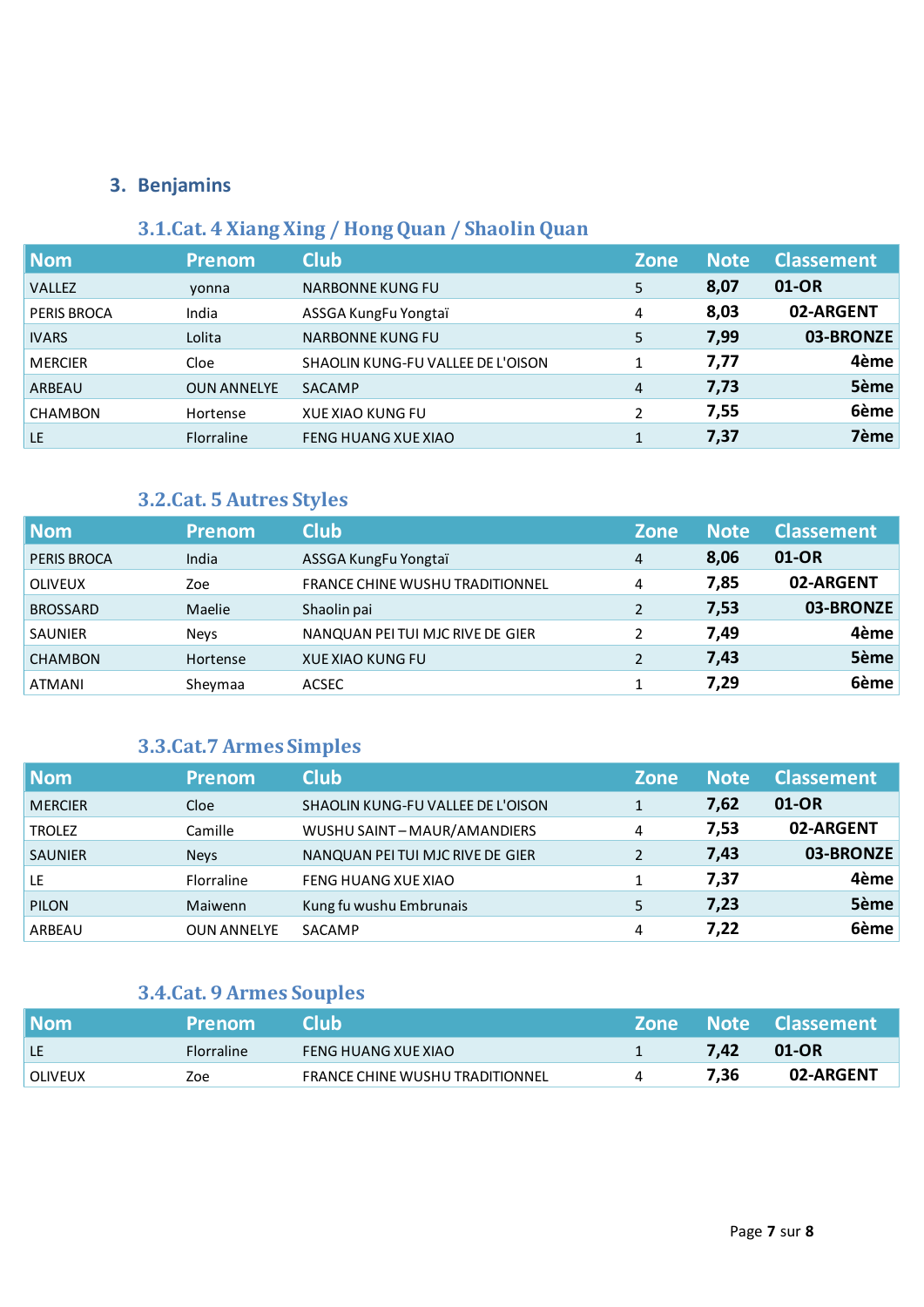## **3.1.Cat. 4 Xiang Xing / Hong Quan / Shaolin Quan**

| <b>Nom</b>     | <b>Prenom</b>      | <b>Club</b>                       | <b>Zone</b>    | <b>Note</b> | <b>Classement</b> |
|----------------|--------------------|-----------------------------------|----------------|-------------|-------------------|
| <b>VALLEZ</b>  | yonna              | <b>NARBONNE KUNG FU</b>           | 5              | 8,07        | 01-OR             |
| PERIS BROCA    | India              | ASSGA KungFu Yongtaï              | 4              | 8,03        | 02-ARGENT         |
| <b>IVARS</b>   | Lolita             | <b>NARBONNE KUNG FU</b>           | 5              | 7,99        | 03-BRONZE         |
| <b>MERCIER</b> | Cloe               | SHAOLIN KUNG-FU VALLEE DE L'OISON |                | 7,77        | 4ème              |
| ARBEAU         | <b>OUN ANNELYE</b> | <b>SACAMP</b>                     | $\overline{4}$ | 7,73        | 5ème              |
| <b>CHAMBON</b> | Hortense           | <b>XUE XIAO KUNG FU</b>           | 2              | 7,55        | 6ème              |
| LE             | <b>Florraline</b>  | <b>FENG HUANG XUE XIAO</b>        | 1              | 7,37        | 7ème              |

## **3.2.Cat. 5 Autres Styles**

| <b>Nom</b>         | <b>Prenom</b> | <b>Club</b>                            | <b>Zone</b>    | <b>Note</b> | <b>Classement</b> |
|--------------------|---------------|----------------------------------------|----------------|-------------|-------------------|
| <b>PERIS BROCA</b> | India         | ASSGA KungFu Yongtaï                   | 4              | 8,06        | 01-OR             |
| <b>OLIVEUX</b>     | Zoe           | <b>FRANCE CHINE WUSHU TRADITIONNEL</b> | 4              | 7,85        | 02-ARGENT         |
| <b>BROSSARD</b>    | Maelie        | Shaolin pai                            | $\overline{2}$ | 7,53        | 03-BRONZE         |
| <b>SAUNIER</b>     | <b>Nevs</b>   | NANQUAN PEI TUI MJC RIVE DE GIER       |                | 7,49        | 4ème              |
| <b>CHAMBON</b>     | Hortense      | <b>XUE XIAO KUNG FU</b>                |                | 7,43        | 5ème              |
| <b>ATMANI</b>      | Sheymaa       | ACSEC                                  |                | 7,29        | 6ème              |

## **3.3.Cat.7 Armes Simples**

| <b>Nom</b>     | <b>Prenom</b>      | <b>Club</b>                       | <b>Zone</b> | <b>Note</b> | <b>Classement</b> |
|----------------|--------------------|-----------------------------------|-------------|-------------|-------------------|
| <b>MERCIER</b> | Cloe               | SHAOLIN KUNG-FU VALLEE DE L'OISON |             | 7,62        | 01-OR             |
| <b>TROLEZ</b>  | Camille            | WUSHU SAINT-MAUR/AMANDIERS        | 4           | 7,53        | 02-ARGENT         |
| <b>SAUNIER</b> | <b>Neys</b>        | NANQUAN PEI TUI MJC RIVE DE GIER  |             | 7,43        | 03-BRONZE         |
| LE             | <b>Florraline</b>  | FENG HUANG XUE XIAO               |             | 7,37        | 4ème              |
| <b>PILON</b>   | <b>Maiwenn</b>     | Kung fu wushu Embrunais           | 5           | 7,23        | 5ème              |
| ARBEAU         | <b>OUN ANNELYE</b> | SACAMP                            | 4           | 7,22        | 6ème              |

## **3.4.Cat. 9 Armes Souples**

| l Nom          | <b>Prenom</b>     | сшы                                    |      | Zone Note Classement |
|----------------|-------------------|----------------------------------------|------|----------------------|
| l LE           | <b>Florraline</b> | FENG HUANG XUE XIAO                    | 7.42 | 01-OR                |
| <b>OLIVEUX</b> | Zoe               | <b>FRANCE CHINE WUSHU TRADITIONNEL</b> | 7,36 | 02-ARGENT            |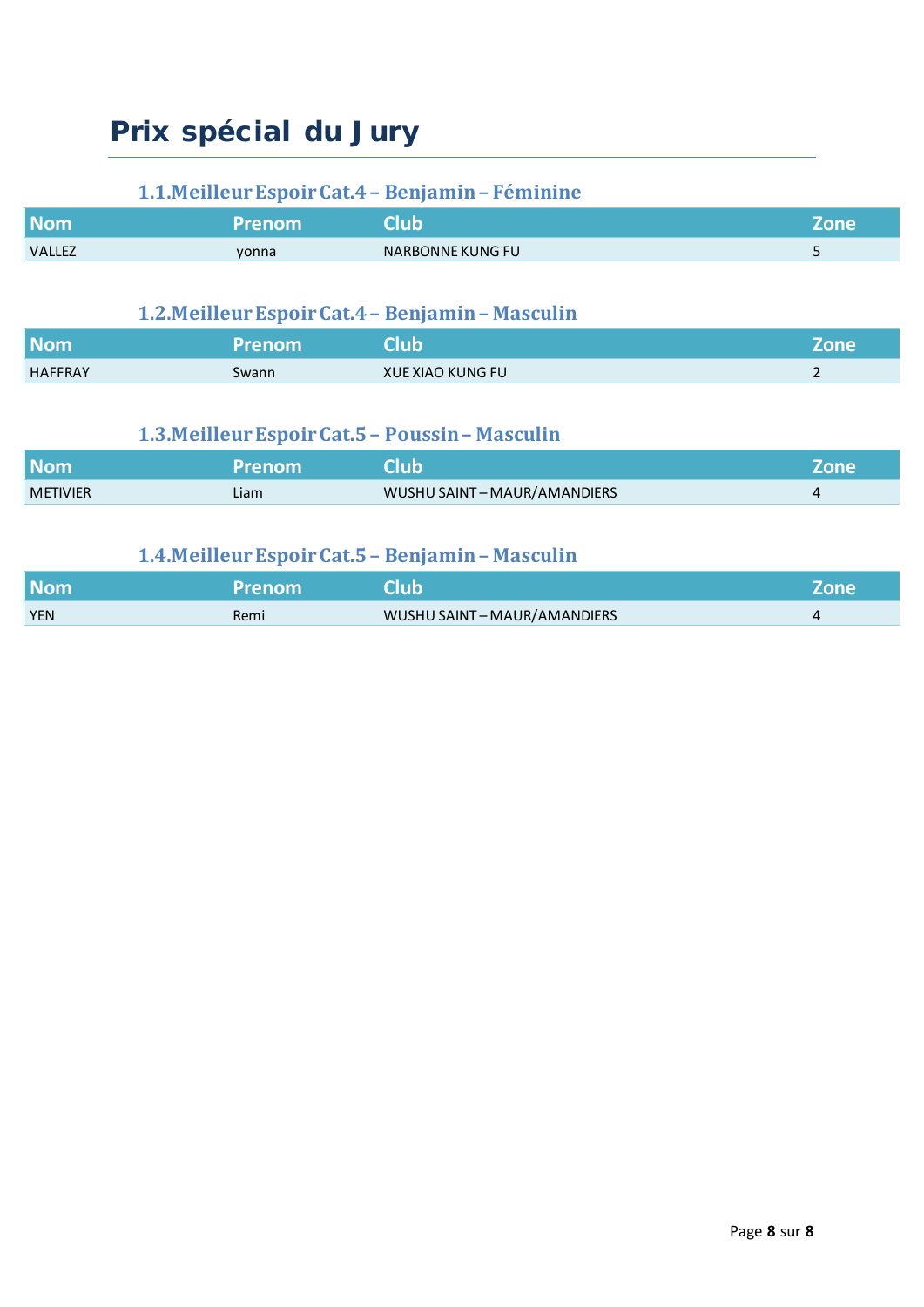# Prix spécial du Jury

## **1.1.Meilleur EspoirCat.4– Benjamin– Féminine**

| <b>Nom</b>    | 'Prenom | lub              | Zone                  |
|---------------|---------|------------------|-----------------------|
| <b>VALLEZ</b> | yonna   | NARBONNE KUNG FU | $\tilde{\phantom{a}}$ |

## **1.2.Meilleur EspoirCat.4– Benjamin– Masculin**

| <b>Nom</b>     | <b>Prenom</b> | <b>Nub</b>              | nne |
|----------------|---------------|-------------------------|-----|
| <b>HAFFRAY</b> | Swann         | <b>XUE XIAO KUNG FU</b> | -   |

## **1.3.Meilleur EspoirCat.5– Poussin– Masculin**

| <b>Nom</b>      | Prenom | lub                        | Zone |
|-----------------|--------|----------------------------|------|
| <b>METIVIER</b> | Liam   | WUSHU SAINT-MAUR/AMANDIERS |      |

## **1.4.Meilleur EspoirCat.5– Benjamin– Masculin**

| <b>Nom</b> | <b>Prenom</b> | <b>RIUD.</b>               | Zone |
|------------|---------------|----------------------------|------|
| <b>YEN</b> | Remi          | WUSHU SAINT-MAUR/AMANDIERS |      |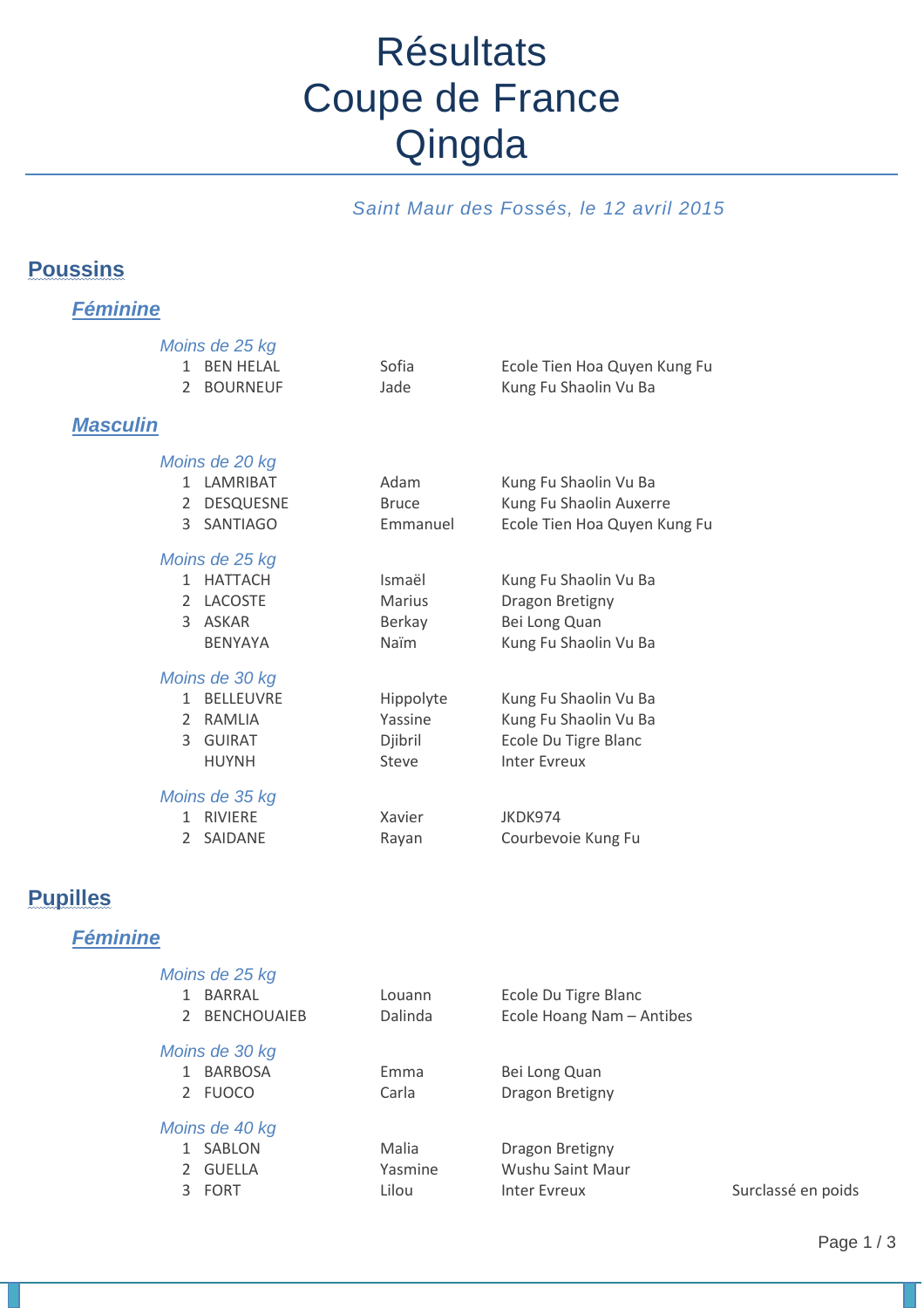# **Résultats** Coupe de France Qingda

## *Saint Maur des Fossés, le 12 avril 2015*

## **Poussins**

*Féminine*

| $\mathcal{P}$<br><b>Masculin</b> | Moins de 25 kg<br>1 BFN HFLAL<br><b>BOURNEUF</b>                           | Sofia<br>Jade                             | Ecole Tien Hoa Quyen Kung Fu<br>Kung Fu Shaolin Vu Ba                                         |
|----------------------------------|----------------------------------------------------------------------------|-------------------------------------------|-----------------------------------------------------------------------------------------------|
|                                  | Moins de 20 kg<br>1 LAMRIBAT<br>2 DESQUESNE<br>3 SANTIAGO                  | Adam<br><b>Bruce</b><br>Emmanuel          | Kung Fu Shaolin Vu Ba<br>Kung Fu Shaolin Auxerre<br>Ecole Tien Hoa Quyen Kung Fu              |
|                                  | Moins de 25 kg<br>1 HATTACH<br>2 LACOSTE<br>3 ASKAR<br><b>BENYAYA</b>      | Ismaël<br><b>Marius</b><br>Berkay<br>Naïm | Kung Fu Shaolin Vu Ba<br>Dragon Bretigny<br>Bei Long Quan<br>Kung Fu Shaolin Vu Ba            |
| $\mathcal{L}$                    | Moins de 30 kg<br>1 BFLLFUVRF<br>2 RAMLIA<br><b>GUIRAT</b><br><b>HUYNH</b> | Hippolyte<br>Yassine<br>Djibril<br>Steve  | Kung Fu Shaolin Vu Ba<br>Kung Fu Shaolin Vu Ba<br>Ecole Du Tigre Blanc<br><b>Inter Evreux</b> |
| $\mathbf{1}$<br>$\mathcal{P}$    | Moins de 35 kg<br><b>RIVIERE</b><br>SAIDANE                                | Xavier<br>Rayan                           | JKDK974<br>Courbevoie Kung Fu                                                                 |

## **Pupilles**

## *Féminine*

| Moins de 25 kg   |         |                           |                    |
|------------------|---------|---------------------------|--------------------|
| BARRAL           | Louann  | Ecole Du Tigre Blanc      |                    |
| 2 BENCHOUAIEB    | Dalinda | Ecole Hoang Nam - Antibes |                    |
| Moins de 30 kg   |         |                           |                    |
| <b>BARBOSA</b>   | Emma    | Bei Long Quan             |                    |
| 2 FUOCO          | Carla   | Dragon Bretigny           |                    |
| Moins de 40 kg   |         |                           |                    |
| SABLON           | Malia   | Dragon Bretigny           |                    |
| 2 GUELLA         | Yasmine | Wushu Saint Maur          |                    |
| 3<br><b>FORT</b> | Lilou   | Inter Evreux              | Surclassé en poids |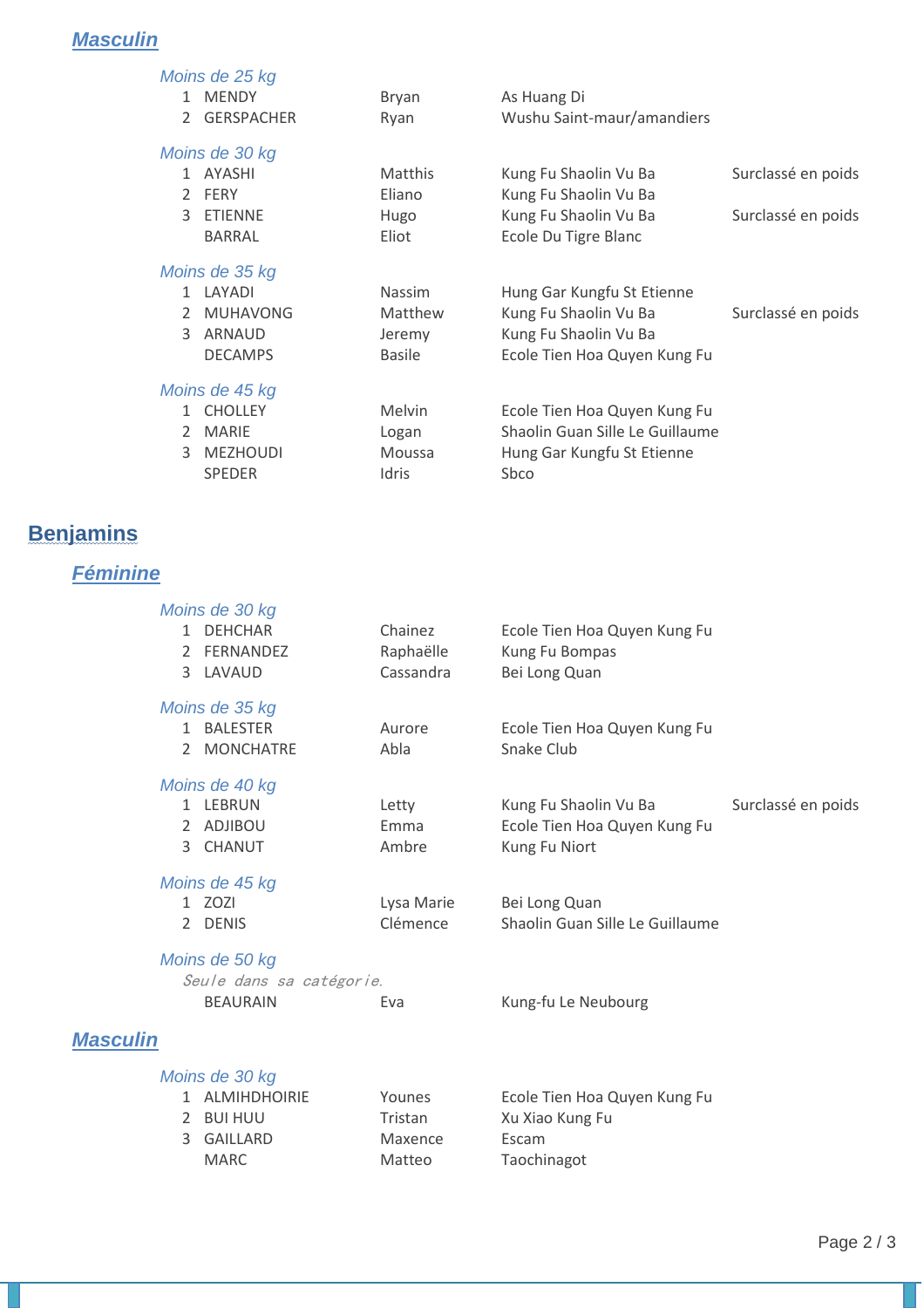## *Masculin*

|               | Moins de 25 kg    |                |                                 |                    |
|---------------|-------------------|----------------|---------------------------------|--------------------|
|               | 1 MENDY           | Bryan          | As Huang Di                     |                    |
| 2             | <b>GERSPACHER</b> | Ryan           | Wushu Saint-maur/amandiers      |                    |
|               | Moins de 30 kg    |                |                                 |                    |
|               | 1 AYASHI          | <b>Matthis</b> | Kung Fu Shaolin Vu Ba           | Surclassé en poids |
|               | 2 FERY            | Eliano         | Kung Fu Shaolin Vu Ba           |                    |
| $\mathcal{L}$ | ETIENNE           | Hugo           | Kung Fu Shaolin Vu Ba           | Surclassé en poids |
|               | <b>BARRAL</b>     | Eliot          | Ecole Du Tigre Blanc            |                    |
|               | Moins de 35 kg    |                |                                 |                    |
|               | 1 LAYADI          | <b>Nassim</b>  | Hung Gar Kungfu St Etienne      |                    |
| $\mathcal{L}$ | MUHAVONG          | <b>Matthew</b> | Kung Fu Shaolin Vu Ba           | Surclassé en poids |
| $\mathcal{L}$ | ARNAUD            | Jeremy         | Kung Fu Shaolin Vu Ba           |                    |
|               | <b>DECAMPS</b>    | <b>Basile</b>  | Ecole Tien Hoa Quyen Kung Fu    |                    |
|               | Moins de 45 kg    |                |                                 |                    |
|               | 1 CHOLLEY         | <b>Melvin</b>  | Ecole Tien Hoa Quyen Kung Fu    |                    |
| $\mathcal{L}$ | MARIE             | Logan          | Shaolin Guan Sille Le Guillaume |                    |
| $\mathcal{L}$ | MEZHOUDI          | Moussa         | Hung Gar Kungfu St Etienne      |                    |
|               | <b>SPEDER</b>     | Idris          | Sbco                            |                    |
|               |                   |                |                                 |                    |

## **Benjamins**

## *Féminine*

| 2                 | Moins de 30 kg<br>1 DEHCHAR<br>FERNANDEZ<br>3 LAVAUD          | Chainez<br>Raphaëlle<br>Cassandra | Ecole Tien Hoa Quyen Kung Fu<br>Kung Fu Bompas<br>Bei Long Quan        |                    |
|-------------------|---------------------------------------------------------------|-----------------------------------|------------------------------------------------------------------------|--------------------|
| $\mathbf{1}$<br>2 | Moins de 35 kg<br><b>BALESTER</b><br><b>MONCHATRE</b>         | Aurore<br>Abla                    | Ecole Tien Hoa Quyen Kung Fu<br>Snake Club                             |                    |
| 3                 | Moins de 40 kg<br>1 LEBRUN<br>2 ADJIBOU<br><b>CHANUT</b>      | Letty<br>Emma<br>Ambre            | Kung Fu Shaolin Vu Ba<br>Ecole Tien Hoa Quyen Kung Fu<br>Kung Fu Niort | Surclassé en poids |
|                   | Moins de 45 kg<br>1 ZOZI<br>2 DENIS                           | Lysa Marie<br>Clémence            | Bei Long Quan<br>Shaolin Guan Sille Le Guillaume                       |                    |
|                   | Moins de 50 kg<br>Seule dans sa catégorie.<br><b>BEAURAIN</b> | Eva                               | Kung-fu Le Neubourg                                                    |                    |
| <b>Masculin</b>   |                                                               |                                   |                                                                        |                    |
|                   | Moins de 30 kg                                                |                                   |                                                                        |                    |

| טט שט שווטוו DN |         |                              |
|-----------------|---------|------------------------------|
| 1 ALMIHDHOIRIE  | Younes  | Ecole Tien Hoa Quyen Kung Fu |
| 2 BUI HUU       | Tristan | Xu Xiao Kung Fu              |
| 3 GAILLARD      | Maxence | Escam                        |
| MARC.           | Matteo  | Taochinagot                  |
|                 |         |                              |